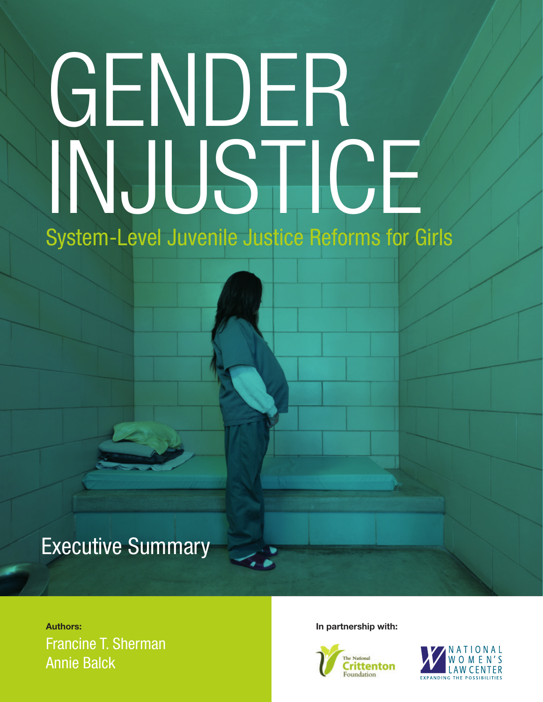# GENDER INJUSTICE

System-Level Juvenile Justice Reforms for Girls

## Executive Summary

### **Authors: In partnership with:** Francine T. Sherman Annie Balck



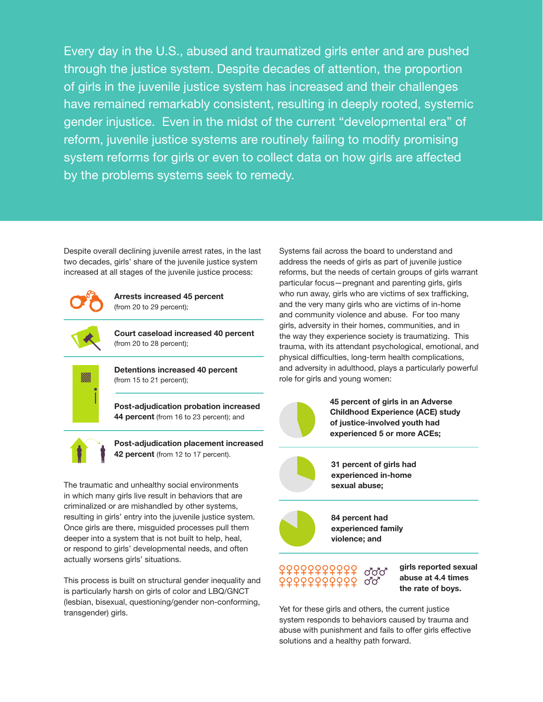Every day in the U.S., abused and traumatized girls enter and are pushed through the justice system. Despite decades of attention, the proportion of girls in the juvenile justice system has increased and their challenges have remained remarkably consistent, resulting in deeply rooted, systemic gender injustice. Even in the midst of the current "developmental era" of reform, juvenile justice systems are routinely failing to modify promising system reforms for girls or even to collect data on how girls are affected by the problems systems seek to remedy.

Despite overall declining juvenile arrest rates, in the last two decades, girls' share of the juvenile justice system increased at all stages of the juvenile justice process:



**Arrests increased 45 percent**  (from 20 to 29 percent);



**Court caseload increased 40 percent**  (from 20 to 28 percent);



**Detentions increased 40 percent** (from 15 to 21 percent);

**Post-adjudication probation increased 44 percent** (from 16 to 23 percent); and



**Post-adjudication placement increased 42 percent** (from 12 to 17 percent).

The traumatic and unhealthy social environments in which many girls live result in behaviors that are criminalized or are mishandled by other systems, resulting in girls' entry into the juvenile justice system. Once girls are there, misguided processes pull them deeper into a system that is not built to help, heal, or respond to girls' developmental needs, and often actually worsens girls' situations.

This process is built on structural gender inequality and is particularly harsh on girls of color and LBQ/GNCT (lesbian, bisexual, questioning/gender non-conforming, transgender) girls.

Systems fail across the board to understand and address the needs of girls as part of juvenile justice reforms, but the needs of certain groups of girls warrant particular focus—pregnant and parenting girls, girls who run away, girls who are victims of sex trafficking, and the very many girls who are victims of in-home and community violence and abuse. For too many girls, adversity in their homes, communities, and in the way they experience society is traumatizing. This trauma, with its attendant psychological, emotional, and physical difficulties, long-term health complications, and adversity in adulthood, plays a particularly powerful role for girls and young women:



**45 percent of girls in an Adverse Childhood Experience (ACE) study of justice-involved youth had experienced 5 or more ACEs;**



**31 percent of girls had experienced in-home sexual abuse;** 

**84 percent had experienced family violence; and**



**girls reported sexual abuse at 4.4 times the rate of boys.**

Yet for these girls and others, the current justice system responds to behaviors caused by trauma and abuse with punishment and fails to offer girls effective solutions and a healthy path forward.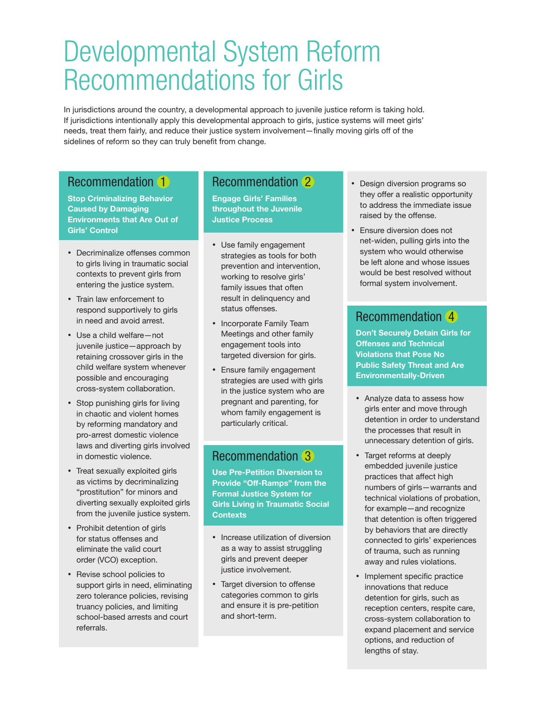## Developmental System Reform Recommendations for Girls

In jurisdictions around the country, a developmental approach to juvenile justice reform is taking hold. If jurisdictions intentionally apply this developmental approach to girls, justice systems will meet girls' needs, treat them fairly, and reduce their justice system involvement—finally moving girls off of the sidelines of reform so they can truly benefit from change.

#### Recommendation 1

**Stop Criminalizing Behavior Caused by Damaging Environments that Are Out of Girls' Control**

- • Decriminalize offenses common to girls living in traumatic social contexts to prevent girls from entering the justice system.
- • Train law enforcement to respond supportively to girls in need and avoid arrest.
- • Use a child welfare—not juvenile justice—approach by retaining crossover girls in the child welfare system whenever possible and encouraging cross-system collaboration.
- Stop punishing girls for living in chaotic and violent homes by reforming mandatory and pro-arrest domestic violence laws and diverting girls involved in domestic violence.
- • Treat sexually exploited girls as victims by decriminalizing "prostitution" for minors and diverting sexually exploited girls from the juvenile justice system.
- Prohibit detention of girls for status offenses and eliminate the valid court order (VCO) exception.
- • Revise school policies to support girls in need, eliminating zero tolerance policies, revising truancy policies, and limiting school-based arrests and court referrals.

#### Recommendation 2

**Engage Girls' Families throughout the Juvenile Justice Process** 

- • Use family engagement strategies as tools for both prevention and intervention, working to resolve girls' family issues that often result in delinquency and status offenses.
- Incorporate Family Team Meetings and other family engagement tools into targeted diversion for girls.
- • Ensure family engagement strategies are used with girls in the justice system who are pregnant and parenting, for whom family engagement is particularly critical.

#### Recommendation 3

**Use Pre-Petition Diversion to Provide "Off-Ramps" from the Formal Justice System for Girls Living in Traumatic Social Contexts** 

- Increase utilization of diversion as a way to assist struggling girls and prevent deeper justice involvement.
- Target diversion to offense categories common to girls and ensure it is pre-petition and short-term.
- Design diversion programs so they offer a realistic opportunity to address the immediate issue raised by the offense.
- • Ensure diversion does not net-widen, pulling girls into the system who would otherwise be left alone and whose issues would be best resolved without formal system involvement.

#### Recommendation 4

**Don't Securely Detain Girls for Offenses and Technical Violations that Pose No Public Safety Threat and Are Environmentally-Driven**

- Analyze data to assess how girls enter and move through detention in order to understand the processes that result in unnecessary detention of girls.
- • Target reforms at deeply embedded juvenile justice practices that affect high numbers of girls—warrants and technical violations of probation, for example—and recognize that detention is often triggered by behaviors that are directly connected to girls' experiences of trauma, such as running away and rules violations.
- Implement specific practice innovations that reduce detention for girls, such as reception centers, respite care, cross-system collaboration to expand placement and service options, and reduction of lengths of stay.